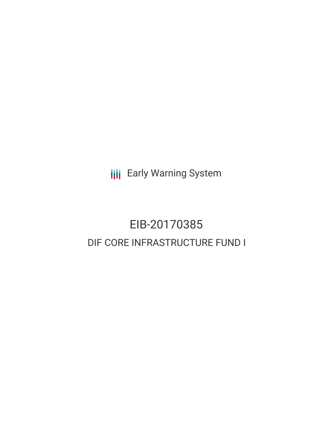**III** Early Warning System

# EIB-20170385 DIF CORE INFRASTRUCTURE FUND I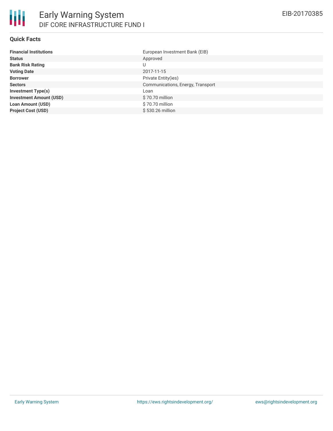#### **Quick Facts**

| <b>Financial Institutions</b>  | European Investment Bank (EIB)    |
|--------------------------------|-----------------------------------|
| <b>Status</b>                  | Approved                          |
| <b>Bank Risk Rating</b>        | U                                 |
| <b>Voting Date</b>             | 2017-11-15                        |
| <b>Borrower</b>                | Private Entity(ies)               |
| <b>Sectors</b>                 | Communications, Energy, Transport |
| <b>Investment Type(s)</b>      | Loan                              |
| <b>Investment Amount (USD)</b> | \$70.70 million                   |
| <b>Loan Amount (USD)</b>       | \$70.70 million                   |
| <b>Project Cost (USD)</b>      | \$530.26 million                  |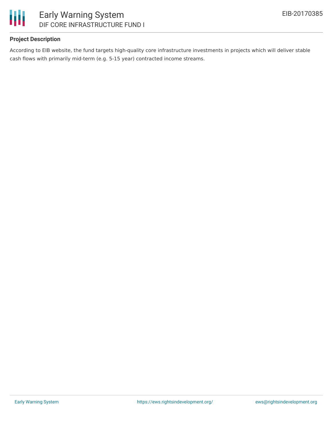

# **Project Description**

According to EIB website, the fund targets high-quality core infrastructure investments in projects which will deliver stable cash flows with primarily mid-term (e.g. 5-15 year) contracted income streams.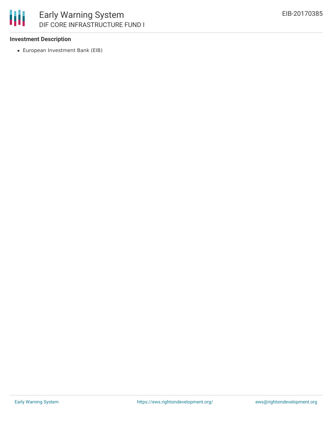

#### **Investment Description**

European Investment Bank (EIB)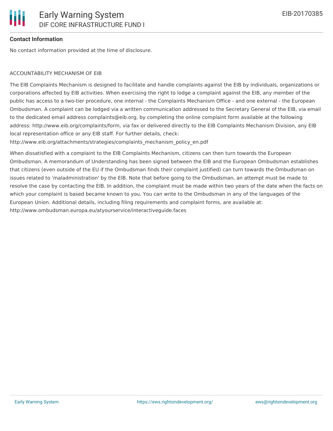## **Contact Information**

No contact information provided at the time of disclosure.

#### ACCOUNTABILITY MECHANISM OF EIB

The EIB Complaints Mechanism is designed to facilitate and handle complaints against the EIB by individuals, organizations or corporations affected by EIB activities. When exercising the right to lodge a complaint against the EIB, any member of the public has access to a two-tier procedure, one internal - the Complaints Mechanism Office - and one external - the European Ombudsman. A complaint can be lodged via a written communication addressed to the Secretary General of the EIB, via email to the dedicated email address complaints@eib.org, by completing the online complaint form available at the following address: http://www.eib.org/complaints/form, via fax or delivered directly to the EIB Complaints Mechanism Division, any EIB local representation office or any EIB staff. For further details, check:

http://www.eib.org/attachments/strategies/complaints\_mechanism\_policy\_en.pdf

When dissatisfied with a complaint to the EIB Complaints Mechanism, citizens can then turn towards the European Ombudsman. A memorandum of Understanding has been signed between the EIB and the European Ombudsman establishes that citizens (even outside of the EU if the Ombudsman finds their complaint justified) can turn towards the Ombudsman on issues related to 'maladministration' by the EIB. Note that before going to the Ombudsman, an attempt must be made to resolve the case by contacting the EIB. In addition, the complaint must be made within two years of the date when the facts on which your complaint is based became known to you. You can write to the Ombudsman in any of the languages of the European Union. Additional details, including filing requirements and complaint forms, are available at: http://www.ombudsman.europa.eu/atyourservice/interactiveguide.faces